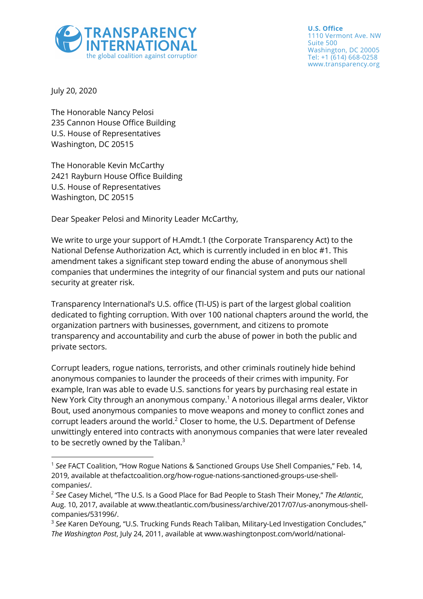

**U.S. Office** 1110 Vermont Ave. NW Suite 500 Washington, DC 20005 Tel: +1 (614) 668-0258 www.transparency.org

July 20, 2020

The Honorable Nancy Pelosi 235 Cannon House Office Building U.S. House of Representatives Washington, DC 20515

The Honorable Kevin McCarthy 2421 Rayburn House Office Building U.S. House of Representatives Washington, DC 20515

Dear Speaker Pelosi and Minority Leader McCarthy,

We write to urge your support of H.Amdt.1 (the Corporate Transparency Act) to the National Defense Authorization Act, which is currently included in en bloc #1. This amendment takes a significant step toward ending the abuse of anonymous shell companies that undermines the integrity of our financial system and puts our national security at greater risk.

Transparency International's U.S. office (TI-US) is part of the largest global coalition dedicated to fighting corruption. With over 100 national chapters around the world, the organization partners with businesses, government, and citizens to promote transparency and accountability and curb the abuse of power in both the public and private sectors.

Corrupt leaders, rogue nations, terrorists, and other criminals routinely hide behind anonymous companies to launder the proceeds of their crimes with impunity. For example, Iran was able to evade U.S. sanctions for years by purchasing real estate in New York City through an anonymous company.1 A notorious illegal arms dealer, Viktor Bout, used anonymous companies to move weapons and money to conflict zones and corrupt leaders around the world.<sup>2</sup> Closer to home, the U.S. Department of Defense unwittingly entered into contracts with anonymous companies that were later revealed to be secretly owned by the Taliban.<sup>3</sup>

<sup>&</sup>lt;sup>1</sup> See FACT Coalition, "How Rogue Nations & Sanctioned Groups Use Shell Companies," Feb. 14, 2019, available at thefactcoalition.org/how-rogue-nations-sanctioned-groups-use-shellcompanies/.

<sup>2</sup> *See* Casey Michel, "The U.S. Is a Good Place for Bad People to Stash Their Money," *The Atlantic*, Aug. 10, 2017, available at www.theatlantic.com/business/archive/2017/07/us-anonymous-shellcompanies/531996/.

<sup>3</sup> *See* Karen DeYoung, "U.S. Trucking Funds Reach Taliban, Military-Led Investigation Concludes," *The Washington Post*, July 24, 2011, available at www.washingtonpost.com/world/national-